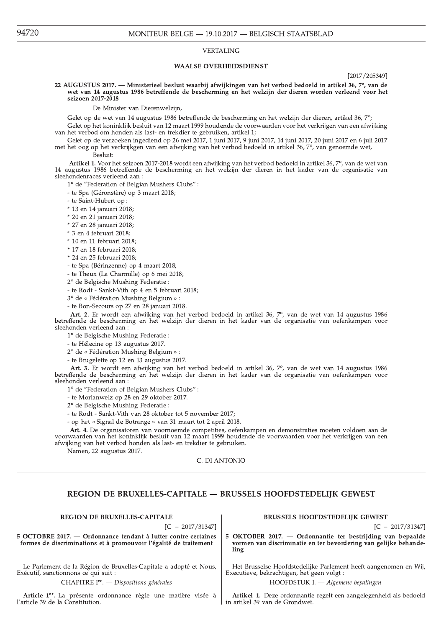#### **VERTALING**

#### **WAALSE OVERHEIDSDIENST**

[2017/205349]

22 AUGUSTUS 2017. - Ministerieel besluit waarbij afwijkingen van het verbod bedoeld in artikel 36, 7°, van de wet van 14 augustus 1986 betreffende de bescherming en het welzijn der dieren worden verleend voor het seizoen 2017-2018

De Minister van Dierenwelzijn,

Gelet op de wet van 14 augustus 1986 betreffende de bescherming en het welzijn der dieren, artikel 36, 7°; Gelet op het koninklijk besluit van 12 maart 1999 houdende de voorwaarden voor het verkrijgen van een afwijking

van het verbod om honden als last- en trekdier te gebruiken, artikel 1;

Gelet op de verzoeken ingediend op 26 mei 2017, 1 juni 2017, 9 juni 2017, 14 juni 2017, 20 juni 2017 en 6 juli 2017 met het oog op het verkrijkgen van een afwijking van het verbod bedoeld in artikel 36, 7°, van genoemde wet,

Besluit:

Artikel 1. Voor het seizoen 2017-2018 wordt een afwijking van het verbod bedoeld in artikel 36,7°, van de wet van 14 augustus 1986 betreffende de bescherming en het welzijn der dieren in het kader van de organisatie van sleehondenraces verleend aan:

1° de "Federation of Belgian Mushers Clubs":

- te Spa (Géronstère) op 3 maart 2018;

- te Saint-Hubert op:

- \* 13 en 14 januari 2018;
- \* 20 en 21 januari 2018;
- \* 27 en 28 januari 2018;
- \* 3 en 4 februari 2018;
- \* 10 en 11 februari 2018;
- \* 17 en 18 februari 2018;
- \* 24 en 25 februari 2018;
- te Spa (Bérinzenne) op 4 maart 2018;
- te Theux (La Charmille) op 6 mei 2018;
- 

2° de Belgische Mushing Federatie:

- te Rodt - Sankt-Vith op 4 en 5 februari 2018;

3° de « Fédération Mushing Belgium » :

- te Bon-Secours op 27 en 28 januari 2018.

Art. 2. Er wordt een afwijking van het verbod bedoeld in artikel 36, 7°, van de wet van 14 augustus 1986 betreffende de bescherming en het welzijn der dieren in het kader van de organisatie van oefenkampen voor sleehonden verleend aan:

1º de Belgische Mushing Federatie:

- te Hélecine op 13 augustus 2017.

2º de « Fédération Mushing Belgium » :

- te Brugelette op 12 en 13 augustus 2017.

Art. 3. Er wordt een afwijking van het verbod bedoeld in artikel 36, 7°, van de wet van 14 augustus 1986 betreffende de bescherming en het welzijn der dieren in het kader van de organisatie van oefenkampen voor sleehonden verleend aan:

1° de "Federation of Belgian Mushers Clubs":

- te Morlanwelz op 28 en 29 oktober 2017.

2° de Belgische Mushing Federatie:

- te Rodt - Sankt-Vith van 28 oktober tot 5 november 2017;

- op het « Signal de Botrange » van 31 maart tot 2 april 2018.

Art. 4. De organisatoren van voornoemde competities, oefenkampen en demonstraties moeten voldoen aan de voorwaarden van het koninklijk besluit van 12 maart 1999 houdende de voorwaarden voor het verkrijgen van een afwijking van het verbod honden als last- en trekdier te gebruiken.

Namen, 22 augustus 2017.

C. DI ANTONIO

# REGION DE BRUXELLES-CAPITALE - BRUSSELS HOOFDSTEDELIJK GEWEST

 $[C - 2017/31347]$ 

5 OCTOBRE 2017. - Ordonnance tendant à lutter contre certaines formes de discriminations et à promouvoir l'égalité de traitement

Le Parlement de la Région de Bruxelles-Capitale a adopté et Nous, Exécutif, sanctionnons ce qui suit :

CHAPITRE Ier. - Dispositions générales

Article 1<sup>er</sup>. La présente ordonnance règle une matière visée à l'article 39 de la Constitution.

# **BRUSSELS HOOFDSTEDELIJK GEWEST**

 $[C - 2017/31347]$ 

5 OKTOBER 2017. - Ordonnantie ter bestrijding van bepaalde vormen van discriminatie en ter bevordering van gelijke behandeling

Het Brusselse Hoofdstedelijke Parlement heeft aangenomen en Wij, Executieve, bekrachtigen, het geen volgt :

HOOFDSTUK I. - Algemene bepalingen

Artikel 1. Deze ordonnantie regelt een aangelegenheid als bedoeld in artikel 39 van de Grondwet.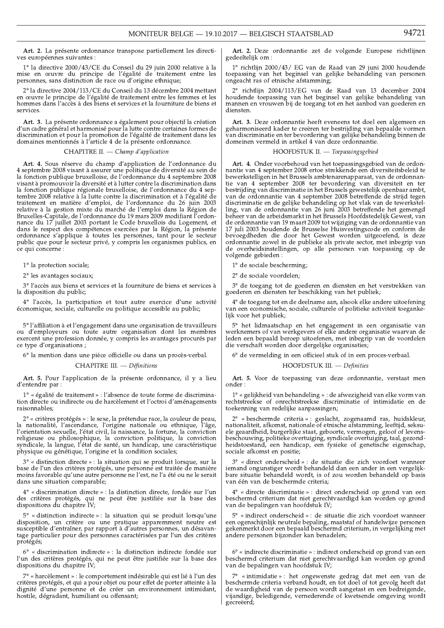Art. 2. La présente ordonnance transpose partiellement les directives européennes suivantes

 $1^{\circ}$  la directive 2000/43/CE du Conseil du 29 juin 2000 relative à la mise en œuvre du principe de l'égalité de traitement entre les personnes, sans distinction de race ou d'origine ethnique;

2° la directive 2004/113/CE du Conseil du 13 décembre 2004 mettant en œuvre le principe de l'égalité de traitement entre les femmes et les hommes dans l'accès à des biens et services et la fourniture de biens et services.

Art. 3. La présente ordonnance a également pour objectif la création<br>d'un cadre général et harmonisé pour la lutte contre certaines formes de discrimination et pour la promotion de l'égalité de traitement dans les domaines mentionnés à l'article 4 de la présente ordonnance.

# CHAPITRE II. - Champ d'application

Art. 4. Sous réserve du champ d'application de l'ordonnance du 4. Al 1. Al 30us 1 essei ve du champ d'approximat de la constantine de la septembre 2008 visant à assurer une politique de diversité au sein de visant à promouvoir la diversité et à lutter contre la discrimination dans la fonction publique régionale bruxelloise, de l'ordonnance du 4 septembre 2008 relative à la lutte contre la discrimination et à l'égalité de traitement en matière d'emploi, de l'ordonnance du 26 juin 2003 relative à la gestion mixte du marché de l'emploi dans la Région de<br>Bruxelles-Capitale, de l'ordonnance du 19 mars 2009 modifiant l'ordonnance du 17 juillet 2003 portant le Code bruxellois du Logement, et dans le respect des compétences exercées par la Région, la présente ordonnance s'applique à toutes les personnes, tant pour le secteur public que pour le secteur privé, y compris les organismes publics, en ce qui concerne :

1° la protection sociale;

 $2^\circ$  les avantages sociaux;

3° l'accès aux biens et services et la fourniture de biens et services à la disposition du public;

4° l'accès, la participation et tout autre exercice d'une activité économique, sociale, culturelle ou politique accessible au public;

 $5^\circ$  l'affiliation à et l'engagement dans une organisation de travailleurs ou d'employeurs ou toute autre organisation dont les membres exercent une profession donnée, y compris les avantages procurés par ce type d'organisations ;

6° la mention dans une pièce officielle ou dans un procès-verbal.

```
CHAPITRE III. - Définitions
```
Art. 5. Pour l'application de la présente ordonnance, il y a lieu d'entendre par :

1° « égalité de traitement » : l'absence de toute forme de discrimination directe ou indirecte ou de harcèlement et l'octroi d'aménagements raisonnables;

2° « critères protégés » : le sexe, la prétendue race, la couleur de peau, la nationalité, l'ascendance, l'origine nationale ou ethnique, l'âge, l'orientation sexuelle, l'état civil, la naissance, la fortune, la conviction religieuse ou philosophique, la conviction politique, la conviction syndicale, la langue, l'état de santé, un handicap, une caractéristique physique ou génétique, l'origine et la condition sociales;

3° « distinction directe » : la situation qui se produit lorsque, sur la base de l'un des critères protégés, une personne est traitée de manière moins favorable qu'une autre personne ne l'est, ne l'a été ou ne le serait dans une situation comparable;

4° « discrimination directe » : la distinction directe, fondée sur l'un des critères protégés, qui ne peut être justifiée sur la base des dispositions du chapitre IV;

5° « distinction indirecte » : la situation qui se produit lorsqu'une disposition, un critère ou une pratique apparemment neutre est<br>susceptible d'entraîner, par rapport à d'autres personnes, un désavantage particulier pour des personnes caractérisées par l'un des critères protégés;

6° « discrimination indirecte » : la distinction indirecte fondée sur l'un des critères protégés, qui ne peut être justifiée sur la base des<br>dispositions du chapitre IV;

7° « harcèlement » : le comportement indésirable qui est lié à l'un des critères protégés, et qui a pour objet ou pour effet de porter atteinte à la dignité d'une personne et de créer un environnement intimidant, hostile, dégradant, humiliant ou offensant;

Art. 2. Deze ordonnantie zet de volgende Europese richtlijnen gedeeltelijk om:

1° richtlijn 2000/43/ EG van de Raad van 29 juni 2000 houdende toepassing van het beginsel van gelijke behandeling van personen ongeacht ras of etnische afstamming;

richtlijn 2004/113/EG van de Raad van 13 december 2004 houdende toepassing van het beginsel van gelijke behandeling van mannen en vrouwen bij de toegang tot en het aanbod van goederen en diensten.

Art. 3. Deze ordonnantie heeft eveneens tot doel een algemeen en geharmoniseerd kader te creëren ter bestrijding van bepaalde vormen van discriminatie en ter bevordering van gelijke behandeling binnen de domeinen vermeld in artikel 4 van deze ordonnantie.

HOOFDSTUK II. - Toepassingsgebied

Art. 4. Onder voorbehoud van het toepassingsgebied van de ordonnantie van 4 september 2008 ertoe strekkende een diversiteitsbeleid te bewerkstelligen in het Brussels ambtenarenapparaat, van de ordonnantie van 4 september 2008 ter bevordering van diversiteit en ter de van de ordonnantie in het Brussels gewestelijk openbaar ambt, van de ordonnantie van 4 september 2008 betreffende de strijd tegen discriminatie en de gelijke behandeling op het vlak van de tewerkstelling, van de ordonna de ordonnantie van 19 maart 2009 tot wijziging van de ordonnantie van 17 juli 2003 houdende de Brusselse Huisvestingscode en conform de bevoegdheden die door het Gewest worden uitgeoefend, is deze ordonnantie zowel in de publieke als private sector, met inbegrip van de overheidsinstellingen, op alle personen van toepassing op de volgende gebieden:

1° de sociale bescherming;

2° de sociale voordelen;

3° de toegang tot de goederen en diensten en het verstrekken van goederen en diensten ter beschikking van het publiek;

4° de toegang tot en de deelname aan, alsook elke andere uitoefening van een economische, sociale, culturele of politieke activiteit toegankelijk voor het publiek;

5° het lidmaatschap en het engagement in een organisatie van werknemers of van werkgevers of elke andere organisatie waarvan de leden een bepaald beroep uitoefenen, met inbegrip van de voordelen die verschaft worden door dergelijke organisaties;

6° de vermelding in een officieel stuk of in een proces-verbaal.

```
HOOFDSTUK III. - Definities
```
Art. 5. Voor de toepassing van deze ordonnantie, verstaat men onder:

1° « gelijkheid van behandeling » : de afwezigheid van elke vorm van rechtstreekse of onrechtstreekse discriminatie of intimidatie en de toekenning van redelijke aanpassingen;

 $2^{\circ}$  « beschermde criteria » : geslacht, zogenaamd ras, huidskleur, nationaliteit, afkomst, nationale of etnische afstamming, leeftijd, seksuele geaardheid, burgerlijke staat, geboorte, vermogen, geloof of levensbeschouwing, politieke overtuiging, syndicale overtuiging, taal, gezondheidstoestand, een handicap, een fysieke of genetische eigenschap, sociale afkomst en positie;

3° « direct onderscheid » : de situatie die zich voordoet wanneer iemand ongunstiger wordt behandeld dan een ander in een vergelijkbare situatie behandeld wordt, is of zou worden behandeld op basis van één van de beschermde criteria;

4° « directe discriminatie » : direct onderscheid op grond van een beschermd criterium dat niet gerechtvaardigd kan worden op grond<br>van de bepalingen van hoofdstuk IV;

5° « indirect onderscheid » : de situatie die zich voordoet wanneer een ogenschijnlijk neutrale bepaling, maatstaf of handelwijze personen gekenmerkt door een bepaald beschermd criterium, in vergelijking met andere personen bijzonder kan benadelen;

6° « indirecte discriminatie » : indirect onderscheid op grond van een beschermd criterium dat niet gerechtvaardigd kan worden op grond van de bepalingen van hoofdstuk IV;

7° « intimidatie » : het ongewenste gedrag dat met een van de beschermde criteria verband houdt, en tot doel of tot gevolg heeft dat de waardigheid van de persoon wordt aangetast en een bedreigende, vijandige, beledigende, vernederende of kwetsende omgeving wordt gécreëerd;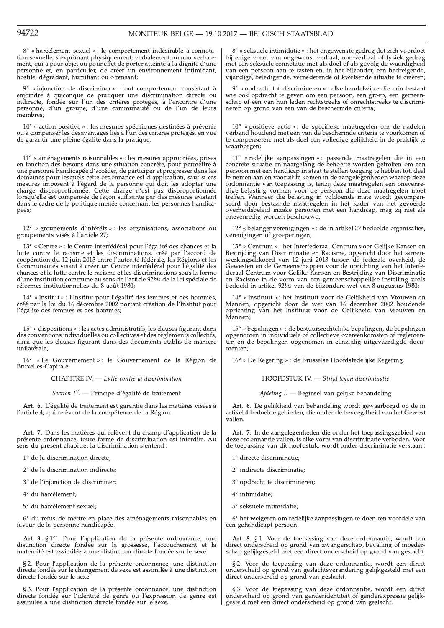8° « harcèlement sexuel » : le comportement indésirable à connotation sexuelle, s'exprimant physiquement, verbalement ou non verbalement, qui a pour objet ou pour effet de porter atteinte à la dignité d'une personne et, en particulier, de créer un environnement intimidant, hostile, dégradant, humiliant ou offensant;

9° « injonction de discriminer » : tout comportement consistant à enjoindre à quiconque de pratiquer une discrimination directe ou<br>indirecte, fondée sur l'un des critères protégés, à l'encontre d'une personne, d'un groupe, d'une communauté ou de l'un de leurs membres:

 $10^{\circ}$  « action positive » : les mesures spécifiques destinées à prévenir ou à compenser les désavantages liés à l'un des critères protégés, en vue de garantir une pleine égalité dans la pratique;

11° « aménagements raisonnables » : les mesures appropriées, prises en fonction des besoins dans une situation concrète, pour permettre à une personne handicapée d'accéder, de participer et progresser dans les domaines pour lesquels cette ordonnance est d'application, sauf si ces mesures imposent à l'égard de la personne qui doit les adopter une charge disproportionnée. Cette charge n'est pas disproportionnée lorsqu'elle est compensée de façon suffisante par des mesures existant<br>dans le cadre de la politique menée concernant les personnes handicapées:

 $12^{\circ}$  « groupements d'intérêts » : les organisations, associations ou groupements visés à l'article 27;

13° « Centre » : le Centre interfédéral pour l'égalité des chances et la lutte contre le racisme et les discriminations, créé par l'accord de coopération du 12 juin 2013 entre l'autorité fédérale, les Régions et les Communautés visant à créer un Centre interfédéral pour l'égalité des communautés visait à créer un centre interfecteur pour l'égalite des<br>chances et la lutte contre le racisme et les discriminations sous la forme<br>d'une institution commune au sens de l'article 92bis de la loi spéciale de réformes institutionnelles du 8 août 1980;

 $14^{\circ}$  « Institut » : l'Institut pour l'égalité des femmes et des hommes, créé par la loi du 16 décembre 2002 portant création de l'Institut pour l'égalité des femmes et des hommes;

 $15^{\circ}$  « dispositions » : les actes administratifs, les clauses figurant dans des conventions individuelles ou collectives et des règlements collectifs, ainsi que les clauses figurant dans des documents établis de manière unilatérale;

 $16^{\circ}$  « Le Gouvernement » : le Gouvernement de la Région de Bruxelles-Capitale.

CHAPITRE IV. - Lutte contre la discrimination

Section I<sup>re</sup>. — Principe d'égalité de traitement

Art. 6. L'égalité de traitement est garantie dans les matières visées à l'article 4, qui relèvent de la compétence de la Région.

Art. 7. Dans les matières qui relèvent du champ d'application de la présente ordonnance, toute forme de discrimination est interdite. Au sens du présent chapitre, la discrimination s'entend :

1° de la discrimination directe;

2° de la discrimination indirecte;

3° de l'injonction de discriminer;

4° du harcèlement;

5° du harcèlement sexuel;

6° du refus de mettre en place des aménagements raisonnables en faveur de la personne handicapée.

Art. 8.  $\S 1<sup>er</sup>$ . Pour l'application de la présente ordonnance, une distinction directe fondée sur la grossesse, l'accouchement et la maternité est assimilée à une distinction directe fondée sur le sexe.

§ 2. Pour l'application de la présente ordonnance, une distinction directe fondée sur le changement de sexe est assimilée à une distinction directe fondée sur le sexe.

§ 3. Pour l'application de la présente ordonnance, une distinction directe fondée sur l'identité de genre ou l'expression de genre est assimilée à une distinction directe fondée sur le sexe.

 $8^{\circ}$  « seksuele intimidatie » : het ongewenste gedrag dat zich voordoet bij enige vorm van ongewenst verbaal, non-verbaal of fysiek gedrag met een seksuele connotatie met als doel of als gevolg de waardigheid van een persoon aan te tasten en, in het bijzonder, een bedreigende, vijandige, beledigende, vernederende of kwetsende situatie te creëren;

9° « opdracht tot discrimineren » : elke handelwijze die erin bestaat wie ook opdracht te geven om een persoon, een groep, een gemeenschap of één van hun leden rechtstreeks of onrechtstreeks te discrimineren op grond van een van de beschermde criteria;

10° « positieve actie » : de specifieke maatregelen om de nadelen verband houdend met een van de beschermde criteria te voorkomen of te compenseren, met als doel een volledige gelijkheid in de praktijk te waarborgen;

 $11^{\circ}$  « redelijke aanpassingen » : passende maatregelen die in een concrete situatie en naargelang de behoefte worden getroffen om een persoon met een handicap in staat te stellen toegang te hebben tot, deel te nemen aan en vooruit te komen in de aangelegenheden waarop deze ordonnantie van toepassing is, tenzij deze maatregelen een onevenredige belasting vormen voor de persoon die deze maatregelen moet treffen. Wanneer die belasting in voldoende mate wordt gecompen-<br>seerd door bestaande maatregelen in het kader van het gevoerde overheidsbeleid inzake personen met een handicap, mag zij niet als onevenredig worden beschouwd;

12° « belangenverenigingen » : de in artikel 27 bedoelde organisaties, verenigingen of groeperingen;

13° « Centrum » : het Interfederaal Centrum voor Gelijke Kansen en Bestrijding van Discriminatie en Racisme, opgericht door het samenbestrijding van Discriminatie en Kacisme, opgericht door het samen-<br>werkingsakkoord van 12 juni 2013 tussen de federale overheid, de<br>Gewesten en de Gemeenschappen voor de oprichting van het Interfe-<br>deraal Centrum voor Gel

14° « Instituut » : het Instituut voor de Gelijkheid van Vrouwen en Mannen, opgericht door de wet van 16 december 2002 houdende oprichting van het Instituut voor de Gelijkheid van Vrouwen en Mannen:

15° « bepalingen » : de bestuursrechtelijke bepalingen, de bepalingen opgenomen in individuele of collectieve overeenkomsten of reglementen en de bepalingen opgenomen in eenzijdig uitgevaardigde documenten:

16° « De Regering » : de Brusselse Hoofdstedelijke Regering.

HOOFDSTUK IV. - Strijd tegen discriminatie

Afdeling I. - Beginsel van gelijke behandeling

Art. 6. De gelijkheid van behandeling wordt gewaarborgd op de in artikel 4 bedoelde gebieden, die onder de bevoegdheid van het Gewest vallen.

Art. 7. In de aangelegenheden die onder het toepassingsgebied van deze ordonnantie vallen, is elke vorm van discriminatie verboden. Voor de toepassing van dit hoofdstuk, wordt onder discriminatie verstaan:

- 1° directe discriminatie;
- 2° indirecte discriminatie:
- 3° opdracht te discrimineren;
- $4^\circ$  intimidatie;
- 5° seksuele intimidatie;

6° het weigeren om redelijke aanpassingen te doen ten voordele van een gehandicapt persoon.

Art. 8. § 1. Voor de toepassing van deze ordonnantie, wordt een direct onderscheid op grond van zwangerschap, bevalling of moederschap gelijkgesteld met een direct onderscheid op grond van geslacht.

§ 2. Voor de toepassing van deze ordonnantie, wordt een direct onderscheid op grond van geslachtsverandering gelijkgesteld met een direct onderscheid op grond van geslacht.

§ 3. Voor de toepassing van deze ordonnantie, wordt een direct onderscheid op grond van genderidentiteit of genderexpressie gelijkgesteld met een direct onderscheid op grond van geslacht.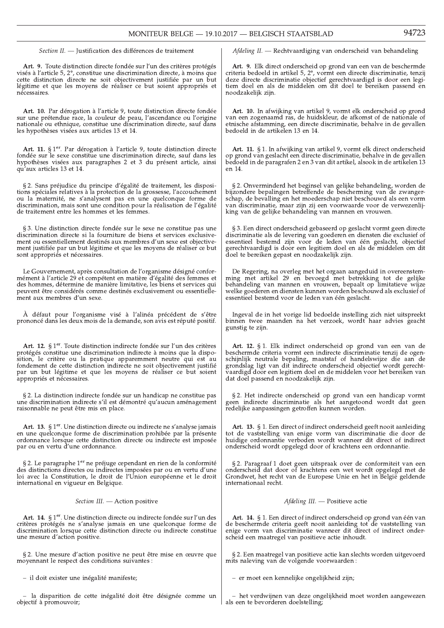Section II. - Justification des différences de traitement

Art. 9. Toute distinction directe fondée sur l'un des critères protégés visés à l'article 5, 2°, constitue une discrimination directe, à moins que viewe d'aistinction directe ne soit objectivement justifiée par un but<br>légitime et que les moyens de réaliser ce but soient appropriés et nécessaires.

Art. 10. Par dérogation à l'article 9, toute distinction directe fondée sur une prétendue race, la couleur de peau, l'ascendance ou l'origine nationale ou ethnique, constitue une discrimination directe, sauf dans les hypothèses visées aux articles 13 et 14.

Art. 11.  $\S 1<sup>er</sup>$ . Par dérogation à l'article 9, toute distinction directe fondée sur le sexe constitue une discrimination directe, sauf dans les hypothèses visées aux paragraphes 2 et 3 du présent article, ainsi qu'aux articles 13 et 14.

§ 2. Sans préjudice du principe d'égalité de traitement, les dispositions spéciales relatives à la protection de la grossesse, l'accouchement sou la maternité, ne s'analysent pas en une quelconque forme de<br>discrimination, mais sont une condition pour la réalisation de l'égalité de traitement entre les hommes et les femmes.

§ 3. Une distinction directe fondée sur le sexe ne constitue pas une discrimination directe si la fourniture de biens et services exclusivement ou essentiellement destinés aux membres d'un sexe est objectivement justifiée par un but légitime et que les moyens de réaliser ce but sont appropriés et nécessaires.

Le Gouvernement, après consultation de l'organisme désigné conformément à l'article 29 et compétent en matière d'égalité des femmes et des hommes, détermine de manière limitative, les biens et services qui peuvent être considérés comme destinés exclusivement ou essentiellement aux membres d'un sexe.

À défaut pour l'organisme visé à l'alinéa précédent de s'être prononcé dans les deux mois de la demande, son avis est réputé positif.

Art. 12. § 1<sup>er</sup>. Toute distinction indirecte fondée sur l'un des critères protégés constitue une discrimination indirecte à moins que la disposition, le critère ou la pratique apparemment neutre qui est au fondement de cette distinction indirecte ne soit objectivement justifié par un but légitime et que les moyens de réaliser ce but soient appropriés et nécessaires.

§ 2. La distinction indirecte fondée sur un handicap ne constitue pas une discrimination indirecte s'il est démontré qu'aucun aménagement raisonnable ne peut être mis en place.

Art. 13. § 1<sup>er</sup>. Une distinction directe ou indirecte ne s'analyse jamais en une quelconque forme de discrimination prohibée par la présente ordonnance lorsque cette distinction directe ou indirecte est imposée<br>par ou en vertu d'une ordonnance.

§ 2. Le paragraphe 1<sup>er</sup> ne préjuge cependant en rien de la conformité des distinctions directes ou indirectes imposées par ou en vertu d'une loi avec la Constitution, le droit de l'Union européenne et le droit international en vigueur en Belgique.

Section III. - Action positive

Art. 14. § 1<sup>er</sup>. Une distinction directe ou indirecte fondée sur l'un des critères protégés ne s'analyse jamais en une quelconque forme de discrimination lorsque cette distinction directe ou indirecte constitue une mesure d'action positive.

§ 2. Une mesure d'action positive ne peut être mise en œuvre que moyennant le respect des conditions suivantes :

- il doit exister une inégalité manifeste;

- la disparition de cette inégalité doit être désignée comme un objectif à promouvoir;

Afdeling II. - Rechtvaardiging van onderscheid van behandeling

Art. 9. Elk direct onderscheid op grond van een van de beschermde criteria bedoeld in artikel 5,  $2^{\circ}$ , vormt een directe discriminatie, tenzij eneral execution in unique objectief gerechtvaardigd is door een legi-<br>tiem doel en als de middelen om dit doel te bereiken passend en noodzakelijk zijn.

Art. 10. In afwijking van artikel 9, vormt elk onderscheid op grond van een zogenaamd ras, de huidskleur, de afkomst of de nationale of etnische afstamming, een directe discriminatie, behalve in de gevallen bedoeld in de artikelen 13 en 14.

Art. 11. § 1. In afwijking van artikel 9, vormt elk direct onderscheid op grond van geslacht een directe discriminatie, behalve in de gevallen bedoeld in de paragrafen 2 en 3 van dit artikel, alsook in de artikelen 13 en 14.

§ 2. Onverminderd het beginsel van gelijke behandeling, worden de bijzondere bepalingen betreffende de bescherming van de zwangerschap, de bevalling en het moederschap niet beschouwd als een vorm<br>van discriminatie, maar zijn zij een voorwaarde voor de verwezenlijking van de gelijke behandeling van mannen en vrouwen.

§ 3. Een direct onderscheid gebaseerd op geslacht vormt geen directe discriminatie als de levering van goederen en diensten die exclusief of essentieel bestemd zijn voor de leden van één geslacht, objectief gerechtvaardigd is door een legitiem doel en als de middelen om dit doel te bereiken gepast en noodzakelijk zijn.

De Regering, na overleg met het orgaan aangeduid in overeenstem-<br>ming met artikel 29 en bevoegd met betrekking tot de gelijke behandeling van mannen en vrouwen, bepaalt op limitatieve wijze welke goederen en diensten kunnen worden beschouwd als exclusief of essentieel bestemd voor de leden van één geslacht.

Ingeval de in het vorige lid bedoelde instelling zich niet uitspreekt binnen twee maanden na het verzoek, wordt haar advies geacht gunstig te zijn.

Art. 12. § 1. Elk indirect onderscheid op grond van een van de beschermde criteria vormt een indirecte discriminatie tenzij de ogenschijnlijk neutrale bepaling, maatstaf of handelswijze die aan de grondslag ligt van dit indirecte onderscheid objectief wordt gerechtvaardigd door een legitiem doel en de middelen voor het bereiken van dat doel passend en noodzakelijk zijn.

§ 2. Het indirecte onderscheid op grond van een handicap vormt geen indirecte discriminatie als het aangetoond wordt dat geen redelijke aanpassingen getroffen kunnen worden.

Art. 13. § 1. Een direct of indirect onderscheid geeft nooit aanleiding tot de vaststelling van enige vorm van discriminatie die door de huidige ordonnantie verboden wordt wanneer dit direct of indirect onderscheid wordt opgelegd door of krachtens een ordonnantie.

§ 2. Paragraaf 1 doet geen uitspraak over de conformiteit van een<br>onderscheid dat door of krachtens een wet wordt opgelegd met de Grondwet, het recht van de Europese Unie en het in België geldende internationaal recht.

Afdeling III. - Positieve actie

Art. 14. § 1. Een direct of indirect onderscheid op grond van één van de beschermde criteria geeft nooit aanleiding tot de vaststelling van enige vorm van discriminatie wanneer dit direct of indirect onderscheid een maatregel van positieve actie inhoudt.

§ 2. Een maatregel van positieve actie kan slechts worden uitgevoerd mits naleving van de volgende voorwaarden:

- er moet een kennelijke ongelijkheid zijn;

- het verdwijnen van deze ongelijkheid moet worden aangewezen als een te bevorderen doelstelling;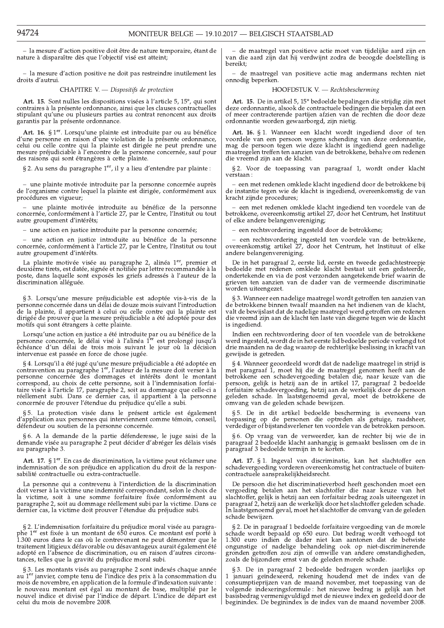- la mesure d'action positive doit être de nature temporaire, étant de nature à disparaître dès que l'objectif visé est atteint;

- la mesure d'action positive ne doit pas restreindre inutilement les droits d'autrui.

CHAPITRE V. - Dispositifs de protection

Art. 15. Sont nulles les dispositions visées à l'article 5, 15°, qui sont contraires à la présente ordonnance, ainsi que les clauses contractuelles stipulant qu'une ou plusieurs parties au contrat renoncent aux droits garantis par la présente ordonnance.

Art. 16. § 1<sup>er</sup>. Lorsqu'une plainte est introduite par ou au bénéfice d'une personne en raison d'une violation de la présente ordonnance, a una partida plainte est dirigée ne peut prendre une<br>mesure préjudiciable à l'encontre de la personne concernée, sauf pour des raisons qui sont étrangères à cette plainte.

§ 2. Au sens du paragraphe  $1<sup>er</sup>$ , il y a lieu d'entendre par plainte :

une plainte motivée introduite par la personne concernée auprès de l'organisme contre lequel la plainte est dirigée, conformément aux procédures en vigueur;

- une plainte motivée introduite au bénéfice de la personne concernée, conformement à l'article 27, par le Centre, l'Institut ou tout autre groupement d'intérêts;

- une action en justice introduite par la personne concernée;

- une action en justice introduite au bénéfice de la personne concernée, conformément à l'article 27, par le Centre, l'Institut ou tout autre groupement d'intérêts.

La plainte motivée visée au paragraphe 2, alinéa  $1<sup>er</sup>$  premier et deuxième tirets, est datée, signée et notifiée par lettre recommandée à la poste, dans laquelle sont exposés les griefs adressés à l'auteur de la discrimination alléguée.

§ 3. Lorsqu'une mesure préjudiciable est adoptée vis-à-vis de la personne concernée dans un délai de douze mois suivant l'introduction de la plainte, il appartient à celui ou celle contre qui la plainte est de la prouver que la mesure préjudiciable a été adoptée pour des<br>motifs qui sont étrangers à cette plainte.

Lorsqu'une action en justice a été introduite par ou au bénéfice de la personne concernée, le délai visé à l'alinéa 1<sup>er</sup> est prolongé jusqu'à échéance d'un délai de trois mois suivant le jour où la décision intervenue est

§ 4. Lorsqu'il a été jugé qu'une mesure préjudiciable a été adoptée en contravention au paragraphe 1<sup>er</sup>, l'auteur de la mesure doit verser à la contraventon au paragraphe 1, i auteur de la fieste dont verser a la personne concernée des dommages et intérêts dont le montant correspond, au choix de cette personne, soit à l'indemnisation forfaitaire visée à l'article

§ 5. La protection visée dans le présent article est également d'application aux personnes qui interviennent comme témoin, conseil, défendeur ou soutien de la personne concernée.

§ 6. A la demande de la partie défenderesse, le juge saisi de la demande visée au paragraphe 2 peut décider d'abréger les délais visés au paragraphe 3.

Art. 17. § 1<sup>er</sup>. En cas de discrimination, la victime peut réclamer une indemnisation de son préjudice en application du droit de la responsabilité contractuelle ou extra-contractuelle.

La personne qui a contrevenu à l'interdiction de la discrimination doit verser à la victime une indemnité correspondant, selon le choix de<br>la victime, soit à une somme forfaitaire fixée conformément au paragraphe 2, soit au dommage réellement subi par la victime. Dans ce dernier cas, la victime doit prouver l'étendue du préjudice subi.

§ 2. L'indemnisation forfaitaire du préjudice moral visée au paragra-<br>phe 1<sup>er</sup> est fixée à un montant de 650 euros. Ce montant est porté à 1.300 euros dans le cas où le contrevenant ne peut démontrer que le traitement litigieux défavorable ou désavantageux aurait également été datement inglétix denovable ou desavantageux adrant également et<br>adopté en l'absence de discrimination, ou en raison d'autres circons-<br>tances, telles que la gravité du préjudice moral subi.

§ 3. Les montants visés au paragraphe 2 sont indexés chaque année au  $1<sup>er</sup>$  janvier, compte tenu de l'indice des prix à la consommation du mois de novembre, en application de la formule d'indexation suivante : le nouveau montant est égal au montant de base, multiplié par le nouvel indice et divisé par l'indice de départ. L'indice de départ est celui du mois de novembre 2008.

- de maatregel van positieve actie moet van tijdelijke aard zijn en van die aard zijn dat hij verdwijnt zodra de beoogde doelstelling is bereikt:

 $\hbox{--}$  de maatregel van positieve actie mag andermans rechten niet onnodig beperken.

## HOOFDSTUK V. - Rechtsbescherming

Art. 15. De in artikel 5, 15° bedoelde bepalingen die strijdig zijn met deze ordonnantie, alsook de contractuele bedingen die bepalen dat een of meer contracterende partijen afzien van de rechten die door deze ordonnantie worden gewaarborgd, zijn nietig.

Art. 16. § 1. Wanneer een klacht wordt ingediend door of ten voordele van een persoon wegens schending van deze ordonnantie, mag de persoon tegen wie deze klacht is ingediend geen nadelige maatregelen treffen ten aanzien van de betrokkene, behalve om redenen die vreemd zijn aan de klacht.

§2. Voor de toepassing van paragraaf 1, wordt onder klacht verstaan

- een met redenen omklede klacht ingediend door de betrokkene bij de instantie tegen wie de klacht is ingediend, overeenkomstig de van<br>kracht zijnde procedures;

 $-$ een met redenen omklede klacht ingediend ten voordele van de betrokkene, overeenkomstig artikel $27$ , door het Centrum, het Instituut of elke andere belangenvereniging;

een rechtsvordering ingesteld door de betrokkene;

- een rechtsvordering ingesteld ten voordele van de betrokkene, overeenkomstig artikel 27, door het Centrum, het Instituut of elke andere belangenvereniging.

De in het paragraaf 2, eerste lid, eerste en tweede gedachtestreepje bedoelde met redenen omklede klacht bestaat uit een gedateerde, ondertekende en via de post verzonden aangetekende brief waarin de grieven ten aanzien van de dader van de vermeende discriminatie worden uiteengezet.

§ 3. Wanneer een nadelige maatregel wordt getroffen ten aanzien van de betrokkene binnen twaalf maanden na het indienen van de klacht, valt de bewijslast dat de nadelige maatregel werd getroffen om redenen die vreemd zijn aan de klacht ten laste van diegene tegen wie de klacht is ingediend.

Indien een rechtsvordering door of ten voordele van de betrokkene werd ingesteld, wordt de in het eerste lid bedoelde periode verlengd tot drie maanden na de dag waarop de rechterlijke beslissing in kracht van gewijsde is getreden.

§ 4. Wanneer geoordeeld wordt dat de nadelige maatregel in strijd is met paragraaf 1, moet hij die de maatregel genomen heeft aan de het paragraar 1, moet nij die de maartger genomen heert aan de betrokkene en schadvergoeding betalen die, naar keuze van die persoon, gelijk is hetzij aan de in artikel 17, paragraaf 2 bedoelde forfaitaire schadevergoeding

§5. De in dit artikel bedoelde bescherming is eveneens van toepassing op de personen die optreden als getuige, raadsheer, verdediger of bijstandsverlener ten voordele van de betrokken persoon.

§ 6. Op vraag van de verweerder, kan de rechter bij wie de in<br>paragraaf 2 bedoelde klacht aanhangig is gemaakt beslissen om de in paragraaf 3 bedoelde termijn in te korten.

 $\mbox{\bf Art.}$  17. § 1. In<br>geval van discriminatie, kan het slachtoffer een schadevergoeding vor<br>deren overeenkomstig het contractuele of buitencontractuele aansprakelijkheids<br>recht.

De persoon die het discriminatieverbod heeft geschonden moet een vergoeding betalen aan het slachtoffer die naar keuze van het slachtoffer, gelijk is hetzij aan een forfaitair bedrag zoals uiteengezet in paragraaf 2, hetzij aan de werkelijk door het slachtoffer geleden schade. In laatstgenoemd geval, moet het slachtoffer de omvang van de geleden schade bewijzen.

§ 2. De in paragraaf 1 bedoelde forfaitaire vergoeding van de morele schade wordt bepaald op 650 euro. Dat bedrag wordt verhoogd tot<br>1.300 euro indien de dader niet kan aantonen dat de betwiste Expose to the distribution of the distribution of the set of and dige behandeling ook op niet-discrimine<br>rende gronden getroffen zou zijn of omwille van andere omstandigheden,<br>zoals de bijzondere ernst van de geleden morel

§ 3. De in paragraaf 2 bedoelde bedragen worden jaarlijks op 1 januari geïndexeerd, rekening houdend met de index van de consumptieprijzen van de maand november, met toepassing van de volgende indexeringsformule : het nieuwe bedrag is gelijk aan het basisbedrag vermenigvuldigd met de nieuwe index en gedeeld door de beginindex. De beginindex is de index van de maand november 2008.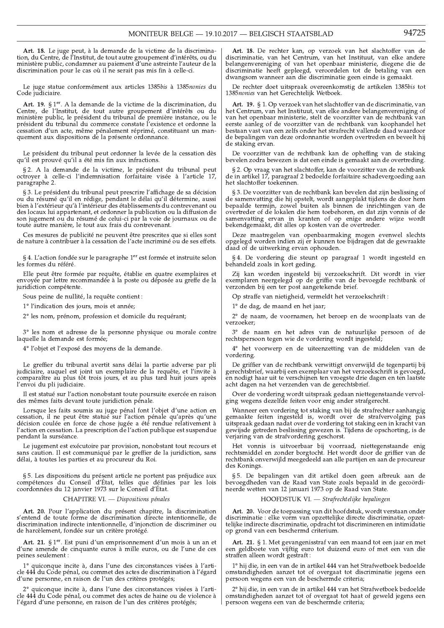Art. 18. Le juge peut, à la demande de la victime de la discrimina-<br>tion, du Centre, de l'Institut, de tout autre groupement d'intérêts, ou du ministère public, condamner au paiement d'une astreinte l'auteur de la discrimination pour le cas où il ne serait pas mis fin à celle-ci.

Le juge statue conformément aux articles 1385bis à 1385nonies du Code judiciaire.

Art. 19. § 1<sup>er</sup>. A la demande de la victime de la discrimination, du<br>Centre, de l'Institut, de tout autre groupement d'intérêts ou du<br>ministère public, le président du tribunal de première instance, ou le<br>président du tri cessation d'un acte, même pénalement réprimé, constituant un manquement aux dispositions de la présente ordonnance.

Le président du tribunal peut ordonner la levée de la cessation dès qu'il est prouvé qu'il a été mis fin aux infractions.

§ 2. A la demande de la victime, le président du tribunal peut octroyer à celle-ci l'indemnisation forfaitaire visée à l'article 17, paragraphe 2.

§ 3. Le président du tribunal peut prescrire l'affichage de sa décision s de pressure un un medial pendant le délai qu'il détermine, aussi<br>bien à l'extérieur qu'à l'intérieur des établissements du contrevenant ou<br>des locaux lui appartenant, et ordonner la publication ou la diffusion de son jugement ou du résumé de celui-ci par la voie de journaux ou de toute autre manière, le tout aux frais du contrevenant

Ces mesures de publicité ne peuvent être prescrites que si elles sont de nature à contribuer à la cessation de l'acte incriminé ou de ses effets.

§ 4. L'action fondée sur le paragraphe 1<sup>er</sup> est formée et instruite selon les formes du référé.

Elle peut être formée par requête, établie en quatre exemplaires et envoyée par lettre recommandée à la poste ou déposée au greffe de la juridiction compétente.

Sous peine de nullité, la requête contient :

1º l'indication des jours, mois et année;

2° les nom, prénom, profession et domicile du requérant;

3° les nom et adresse de la personne physique ou morale contre laquelle la demande est formée;

4° l'objet et l'exposé des moyens de la demande.

Le greffier du tribunal avertit sans délai la partie adverse par pli judiciaire, auquel est joint un exemplaire de la requête, et l'invité à comparaître au plus tôt trois jours, et au plus tard huit jours après l'envoi du pli judiciaire.

Il est statué sur l'action nonobstant toute poursuite exercée en raison des mêmes faits devant toute juridiction pénale.

Lorsque les faits soumis au juge pénal font l'objet d'une action en cessation, il ne peut être statué sur l'action pénale qu'après qu'une décision coulée en force de chose jugée a été rendue relativement à l'action en cessation. La prescription de l'action publique est suspendue pendant la surséance.

Le jugement est exécutoire par provision, nonobstant tout recours et sans caution. Il est communiqué par le greffier de la juridiction, sans délai, à toutes les parties et au procureur du Roi.

§ 5. Les dispositions du présent article ne portent pas préjudice aux compétences du Conseil d'État, telles que définies par les lois coordonnées du 12 janvier 1973 sur le Conseil d'État.

CHAPITRE VI. - Dispositions pénales

Art. 20. Pour l'application du présent chapitre, la discrimination s'entend de toute forme de discrimination directe intentionnelle, de discrimination indirecte intentionnelle, d'injonction de discriminer ou de harcèlement, fondée sur un critère protégé.

Art. 21. § 1<sup>er</sup>. Est puni d'un emprisonnement d'un mois à un an et d'une amende de cinquante euros à mille euros, ou de l'une de ces peines seulement :

 $1^{\circ}$ quiconque incite à, dans l'une des circonstances visées à l'article 444 du Code pénal, ou commet des actes de discrimination à l'égard d'une personne, en raison de l'un des critères protégés;

quiconque incite à, dans l'une des circonstances visées à l'article 444 du Code pénal, ou commet des actes de haine ou de violence à l'égard d'une personne, en raison de l'un des critères protégés;

Art. 18. De rechter kan, op verzoek van het slachtoffer van de discriminatie, van het Centrum, van het Instituut, van elke andere belangenvereniging of van het openbaar ministerie, diegene die de discriminatie heeft gepleegd, veroordelen tot de betaling van een dwangsom wanneer aan die discriminatie geen einde is gemaakt.

De rechter doet uitspraak overeenkomstig de artikelen 1385bis tot 1385nonies van het Gerechtelijk Wetboek.

Art. 19. § 1. Op verzoek van het slachtoffer van de discriminatie, van het Centrum, van het Instituut, van elke andere belangenvereniging of van het openbaar ministerie, stelt de voorzitter van de rechtbank van eerste aanleg of de voorzitter van de rechtbank van bestaan vast van een zelfs onder het strafrecht vallende daad waardoor de bepalingen van deze ordonnantie worden overtreden en beveelt hij de staking ervan.

De voorzitter van de rechtbank kan de opheffing van de staking bevelen zodra bewezen is dat een einde is gemaakt aan de overtreding.

§ 2. Op vraag van het slachtoffer, kan de voorzitter van de rechtbank<br>de in artikel 17, paragraaf 2 bedoelde forfaitaire schadevergoeding aan het slachtoffer toekennen.

§ 3. De voorzitter van de rechtbank kan bevelen dat zijn beslissing of de samenvatting die hij opstelt, wordt aangeplakt tijdens de door hem Le bande termijn, zowel buiten als binnen de inrichtingen van de<br>overtreder of de lokalen die hem toebehoren, en dat zijn vonnis of de samenvatting ervan in kranten of op enige andere wijze wordt bekendgemaakt, dit alles op kosten van de overtreder.

Deze maatregelen van openbaarmaking mogen evenwel slechts opgelegd worden indien zij er kunnen toe bijdragen dat de gewraakte daad of de uitwerking ervan ophouden.

 $\S\,4.$  De vordering die steunt op paragraaf 1 wordt ingesteld en behandeld zoals in kort geding.

Zij kan worden ingesteld bij verzoekschrift. Dit wordt in vier exemplaren neergelegd op de griffie van de bevoegde rechtbank of<br>verzonden bij een ter post aangetekende brief.

Op straffe van nietigheid, vermeldt het verzoekschrift:

1° de dag, de maand en het jaar;

2° de naam, de voornamen, het beroep en de woonplaats van de verzoeker;

3° de naam en het adres van de natuurlijke persoon of de rechtspersoon tegen wie de vordering wordt ingesteld;

4° het voorwerp en de uiteenzetting van de middelen van de vordering.

De griffier van de rechtbank verwittigt onverwijld de tegenpartij bij gerechtsbrief, waarbij een exemplaar van het verzoekschrift is gevoegd, en nodigt haar uit te verschijnen ten vroegste drie dagen en ten laatste acht dagen na het verzenden van de gerechtsbrief.

Over de vordering wordt uitspraak gedaan niettegenstaande vervolging wegens dezelfde feiten voor enig ander strafgerecht.

Wanneer een vordering tot staking van bij de strafrechter aanhangig<br>gemaakte feiten ingesteld is, wordt over de strafvervolging pas<br>uitspraak gedaan nadat over de vordering tot staking een in kracht van<br>gewijsde getreden b verjaring van de strafvordering geschorst.

Het vonnis is uitvoerbaar bij voorraad, niettegenstaande enig<br>rechtsmiddel en zonder borgtocht. Het wordt door de griffier van de rechtbank onverwijld meegedeeld aan alle partijen en aan de procureur des Konings.

§5. De bepalingen van dit artikel doen geen afbreuk aan de bevoegdheden van de Raad van State zoals bepaald in de gecoördineerde wetten van 12 januari 1973 op de Raad van State.

## HOOFDSTUK VI. - Strafrechtelijke bepalingen

Art. 20. Voor de toepassing van dit hoofdstuk, wordt verstaan onder discriminatie : elke vorm van opzettelijke directe discriminatie, opzettelijke indirecte discriminatie, opdracht tot discrimineren en intimidatie op grond van een beschermd criterium.

Art. 21. § 1. Met gevangenisstraf van een maand tot een jaar en met Final contracts are the property of the contract of the contract of the contract of the set of the straffen alleen wordt gestraft:

1° hij die, in een van de in artikel 444 van het Strafwetboek bedoelde omstandigheden aanzet tot of overgaat tot discriminatie jegens een persoon wegens een van de beschermde criteria;

2° hij die, in een van de in artikel 444 van het Strafwetboek bedoelde omstandigheden aanzet tot of overgaat tot haat of geweld jegens een persoon wegens een van de beschermde criteria;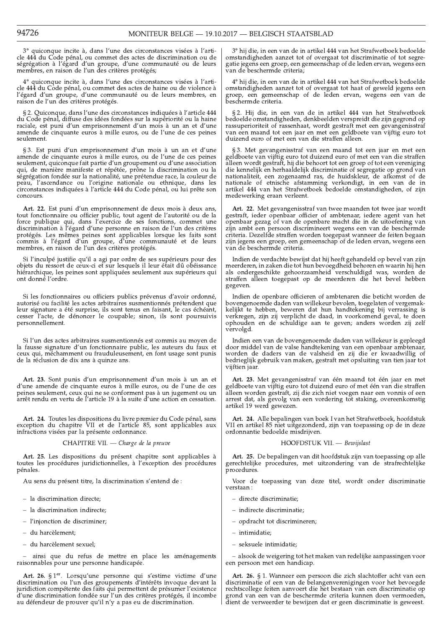3° quiconque incite à, dans l'une des circonstances visées à l'artide 444 du Code pénal, ou commet des actes de discrimination ou de<br>ségrégation à l'égard d'un groupe, d'une communauté ou de leurs<br>membres, en raison de l'un des critères protégés;

quiconque incite à, dans l'une des circonstances visées à l'artide 444 du Code pénal, ou commet des actes de haine ou de violence à l'égard d'un groupe, d'une communauté ou de leurs membres, en raison de l'un des critères protégés.

§ 2. Quiconque, dans l'une des circonstances indiquées à l'article 444 du Code pénal, diffuse des idées fondées sur la supériorité ou la haine raciale, est puni d'un emprisonnement d'un mois à un an et d'une amende de cinquante euros à mille euros, ou de l'une de ces peines seulement.

§ 3. Est puni d'un emprisonnement d'un mois à un an et d'une amende de cinquante euros à mille euros, ou de l'une de ces peines seulement, quiconque fait partie d'un groupement ou d'une association qui, de manière manifeste et répétée, prône la discrimination ou la qui, de maniere manifeste et repetée, proire la discrimination ou la ségrégation fondée sur la nationalité, une prétendue race, la couleur de peau, l'ascendance ou l'origine nationale ou ethnique, dans les circonstances in concours.

Art. 22. Est puni d'un emprisonnement de deux mois à deux ans, tout fonctionnaire ou officier public, tout agent de l'autorité ou de la force publique qui ou different public, tout agent de l'autorité ou de la<br>force publique qui, dans l'exercice de ses fonctions, commet une<br>discrimination à l'égard d'une personne en raison de l'un des critères<br>protégés. Le

Si l'inculpé justifie qu'il a agi par ordre de ses supérieurs pour des objets du ressort de ceux-ci et sur lesquels il leur était dû obéissance hiérarchique, les peines sont appliquées seulement aux supérieurs qui ont donné l'ordre.

Si les fonctionnaires ou officiers publics prévenus d'avoir ordonné, autorisé ou facilité les actes arbitraires susmentionnés prétendent que leur signature a été surprise, ils sont tenus en faisant, le cas échéant, cesser l'acte, de dénoncer le coupable; sinon, ils sont poursuivis personnellement.

Si l'un des actes arbitraires susmentionnés est commis au moyen de la fausse signature d'un fonctionnaire public, les auteurs du faux et ceux qui, méchamment ou frauduleusement, en font usage sont punis de la réclusion de dix ans à quinze ans.

Art. 23. Sont punis d'un emprisonnement d'un mois à un an et d'une amende de cinquante euros à mille euros, ou de l'une de ces peines seulement, ceux qui ne se conforment pas à un jugement ou un arrêt rendu en vertu de l'article 19 à la suite d'une action en cessation.

Art. 24. Toutes les dispositions du livre premier du Code pénal, sans<br>exception du chapitre VII et de l'article 85, sont applicables aux infractions visées par la présente ordonnance.

CHAPITRE VII. - Charge de la preuve

Art. 25. Les dispositions du présent chapitre sont applicables à toutes les procédures juridictionnelles, à l'exception des procédures pénales.

Au sens du présent titre, la discrimination s'entend de :

- la discrimination directe;
- la discrimination indirecte;
- l'injonction de discriminer;
- du harcèlement;
- du harcèlement sexuel:

ainsi que du refus de mettre en place les aménagements raisonnables pour une personne handicapée.

Art. 26. § 1<sup>er</sup>. Lorsqu'une personne qui s'estime victime d'une discrimination ou l'un des groupements d'intérêts invoque devant la juridiction compétente des faits qui permettent de présumer l'existence d'une discrimination fondée sur l'un des critères protégés, il incombe au défendeur de prouver qu'il n'y a pas eu de discrimination.

3° hij die, in een van de in artikel 444 van het Strafwetboek bedoelde omstandigheden aanzet tot of overgaat tot discriminatie of tot segregatie jegens een groep, een gemeenschap of de leden ervan, wegens een van de beschermde criteria;

4° hij die, in een van de in artikel 444 van het Strafwetboek bedoelde Figure 2 and the set of overgaat tot haat of geweld jegens een<br>groep, een gemeenschap of de leden ervan, wegens een van de beschermde criteria.

§ 2. Hij die, in een van de in artikel 444 van het Strafwetboek bedoelde omstandigheden, denkbeelden verspreidt die zijn gegrond op rassuperioriteit of rassenhaat, wordt gestraft met een gevangenisstraf van een maand tot een jaar en met een geldboete van vijftig euro tot duizend euro of met een van die straffen alleen.

3. Met gevangenisstraf van een maand tot een jaar en met een geldboete van vijftig euro tot duizend euro of met een van die straffen alleen wordt gestraft, hij die behoort tot een groep of tot een vereniging<br>die kennelijk en herhaaldelijk discriminatie of segregatie op grond van die keiner in einhandlicht, een zogenaamd ras, de huidskleur, de afkomst of de<br>nationaliteit, een zogenaamd ras, de huidskleur, de afkomst of de<br>nationale of etnische afstamming verkondigt, in een van de in<br>artikel 444 van medewerking eraan verleent.

Art. 22. Met gevangenisstraf van twee maanden tot twee jaar wordt gestraft, ieder openbaar officier of ambtenaar, iedere agent van het openbaar gezag of van de openbare macht die in de uitoefening van peinaan gezag of van de beschermde maart die in de beschermde zijn ambt een persoon discrimineert wegens een van de beschermde criteria. Dezelfde straffen worden toegepast wanneer de feiten begaan zijn jegens een groep, ee

Indien de verdachte bewijst dat hij heeft gehandeld op bevel van zijn materiale verdactike bewijst dat rij neer genandend op bever van zijn meerderen, in zaken die tot hun bevoegdheid behoren en waarin hij hen als ondergeschikte gehoorzaamheid verschuldigd was, worden de straffen alleen toeg gegeven.

Indien de openbare officieren of ambtenaren die beticht worden de bovengenoemde daden van willekeur bevolen, toegelaten of vergemakkelijkt te hebben, beweren dat hun handtekening bij verrassing is verkregen, zijn zij verplicht de daad, in voorkomend geval, te doen ophouden en de schuldige aan te geven; anders worden zij zelf vervolgd.

Indien een van de bovengenoemde daden van willekeur is gepleegd door middel van de valse handtekening van een openbaar ambtenaar, worden de daders van de valsheid en zij die er kwaadwillig of bedrieglijk gebruik van maken, gestraft met opsluiting van tien jaar tot vijftien jaar.

Art. 23. Met gevangenisstraf van één maand tot één jaar en met geldboete van vijftig euro tot duizend euro of met één van die straffen alleen worden gestraft, zij die zich niet voegen naar een vonnis of een arrest dat, als gevolg van een vordering tot staking, overeenkomstig artikel 19 werd gewezen.

Art. 24. Alle bepalingen van boek I van het Strafwetboek, hoofdstuk VII en artikel 85 niet uitgezonderd, zijn van toepassing op de in deze ordonnantie bedoelde misdrijven.

HOOFDSTUK VII. - Bewijslast

Art. 25. De bepalingen van dit hoofdstuk zijn van toepassing op alle gerechtelijke procedures, met uitzondering van de strafrechtelijke procedures.

Voor de toepassing van deze titel, wordt onder discriminatie verstaan:

- directe discriminatie;
- indirecte discriminatie;
- opdracht tot discrimineren;
- intimidatie;
- seksuele intimidatie:

- alsook de weigering tot het maken van redelijke aanpassingen voor een persoon met een handicap.

Art. 26. § 1. Wanneer een persoon die zich slachtoffer acht van een discriminatie of een van de belangenverenigingen voor het bevoegde rechtscollege feiten aanvoert die het bestaan van een discriminatie op grond van een van de beschermde criteria kunnen doen vermoeden, dient de verweerder te bewijzen dat er geen discriminatie is geweest.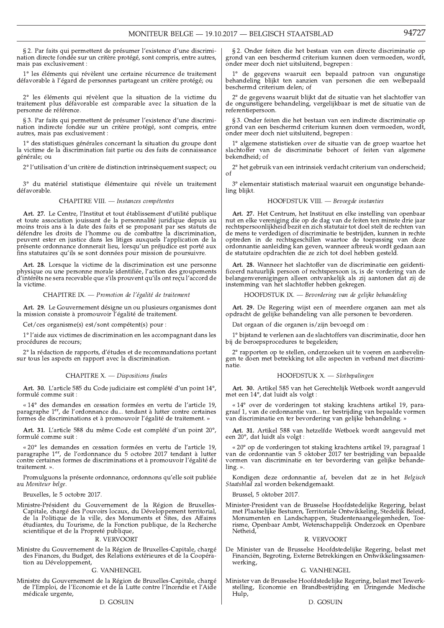§ 2. Par faits qui permettent de présumer l'existence d'une discrimination directe fondée sur un critère protégé, sont compris, entre autres, mais pas exclusivement:

1° les éléments qui révèlent une certaine récurrence de traitement défavorable à l'égard de personnes partageant un critère protégé; ou

2° les éléments qui révèlent que la situation de la victime du traitement plus défavorable est comparable avec la situation de la personne de référence.

§ 3. Par faits qui permettent de présumer l'existence d'une discrimination indirecte fondée sur un critère protégé, sont compris, entre autres, mais pas exclusivement :

1° des statistiques générales concernant la situation du groupe dont la victime de la discrimination fait partie ou des faits de connaissance générale; ou

2° l'utilisation d'un critère de distinction intrinsèquement suspect; ou

3° du matériel statistique élémentaire qui révèle un traitement défavorable.

## CHAPITRE VIII. - Instances compétentes

Art. 27. Le Centre, l'Institut et tout établissement d'utilité publique Art. 27. Le Centre, i institut et tout etablissement à utilité publique<br>et toute association jouissant de la personnalité juridique depuis au<br>moins trois ans à la date des faits et se proposant par ses statuts de<br>défendre peuvent ester en justice dans les litiges auxquels l'application de la présente ordonnance donnerait lieu, lorsqu'un préjudice est porté aux fins statutaires qu'ils se sont données pour mission de poursuivre.

Art. 28. Lorsque la victime de la discrimination est une personne physique ou une personne morale identifiée, l'action des groupements d'intérêts ne sera recevable que s'ils prouvent qu'ils ont reçu l'accord de la victime.

CHAPITRE IX. — Promotion de l'égalité de traitement

Art. 29. Le Gouvernement désigne un ou plusieurs organismes dont la mission consiste à promouvoir l'égalité de traitement.

Cet/ces organisme(s) est/sont compétent(s) pour :

1° l'aide aux victimes de discrimination en les accompagnant dans les procédures de recours;

2° la rédaction de rapports, d'études et de recommandations portant sur tous les aspects en rapport avec la discrimination.

## CHAPITRE X. - Dispositions finales

Art. 30. L'article 585 du Code judiciaire est complété d'un point 14°, formulé comme suit :

« 14° des demandes en cessation formées en vertu de l'article 19, paragraphe 1<sup>er</sup>, de l'ordonnance du... tendant à lutter contre certaines formes de discriminations et à promouvoir l'égalité de traitement.

Art. 31. L'article 588 du même Code est complété d'un point 20°, formulé comme suit :

« 20° les demandes en cessation formées en vertu de l'article 19, paragraphe 1<sup>er</sup>, de l'ordonnance du 5 octobre 2017 tendant à lutter contre certaines formes de discriminations et à promouvoir l'égalité de traitement. »

Promulguons la présente ordonnance, ordonnons qu'elle soit publiée au Moniteur belge.

Bruxelles, le 5 octobre 2017.

Ministre-Président du Gouvernement de la Région de Bruxelles-<br>Capitale, chargé des Pouvoirs locaux, du Développement territorial,<br>de la Politique de la ville, des Monuments et Sites, des Affaires<br>étudiantes, du Tourisme, d scientifique et de la Propreté publique,

## R. VERVOORT

Ministre du Gouvernement de la Région de Bruxelles-Capitale, chargé des Finances, du Budget, des Relations extérieures et de la Coopération au Développement,

#### **G. VANHENGEL**

Ministre du Gouvernement de la Région de Bruxelles-Capitale, chargé de l'Emploi, de l'Economie et de la Lutte contre l'Incendie et l'Aide médicale urgente,

### D. GOSUIN

§ 2. Onder feiten die het bestaan van een directe discriminatie op grond van een beschermd criterium kunnen doen vermoeden, wordt, onder meer doch niet uitsluitend, begrepen:

 $1^{\circ}$  de gegevens waaruit een bepaald patroon van ongunstige behandeling blijkt ten aanzien van personen die een welbepaald beschermd criterium delen; of

2° de gegevens waaruit blijkt dat de situatie van het slachtoffer van de ongunstigere behandeling, vergelijkbaar is met de situatie van de referentiepersoon.

§ 3. Onder feiten die het bestaan van een indirecte discriminatie op grond van een beschermd criterium kunnen doen vermoeden, wordt, onder meer doch niet uitsluitend, begrepen:

1° algemene statistieken over de situatie van de groep waartoe het slachtoffer van de discriminatie behoort of feiten van algemene bekendheid; of

2° het gebruik van een intrinsiek verdacht criterium van onderscheid;  $\sigma$ f

3° elementair statistisch materiaal waaruit een ongunstige behandeling blijkt.

### HOOFDSTUK VIII. - Bevoegde instanties

Art. 27. Het Centrum, het Instituut en elke instelling van openbaar nu ant receptuality for montant en ence motemn, and openeant<br>nut en elke vereniging die op de dag van de feiten ten minste drie jaar<br>rechtspersoonlijkheid bezit en zich statutair tot doel stelt de rechten van de mens te verdedigen of discriminatie te bestrijden, kunnen in rechte optreden in de rechtsgeschillen waartoe de toepassing van deze ordonnantie aanleiding kan geven, wanneer afbreuk wordt gedaan aan de statutaire opdrachten die ze zich tot doel hebben gesteld.

Art. 28. Wanneer het slachtoffer van de discriminatie een geïdentificeerd natuurlijk persoon of rechtspersoon is, is de vordering van de belangenverenigingen alleen ontvankelijk als zij aantonen dat zij de instemming van het slachtoffer hebben gekregen.

HOOFDSTUK IX. — Bevordering van de gelijke behandeling

Art. 29. De Regering wijst een of meerdere organen aan met als opdracht de gelijke behandeling van alle personen te bevorderen.

Dat orgaan of die organen is/zijn bevoegd om:

1<sup>°</sup> bijstand te verlenen aan de slachtoffers van discriminatie, door hen bij de beroepsprocedures te begeleiden;

 $2^{\circ}$  rapporten op te stellen, onderzoeken uit te voeren en aanbevelingen te doen met betrekking tot alle aspecten in verband met discriminatie

## HOOFDSTUK X. - Slotbepalingen

Art. 30. Artikel 585 van het Gerechtelijk Wetboek wordt aangevuld met een 14°, dat luidt als volgt:

« 14° over de vorderingen tot staking krachtens artikel 19, paragraaf 1, van de ordonnantie van... ter bestrijding van bepaalde vormen van discriminatie en ter bevordering van gelijke behandeling. »

Art. 31. Artikel 588 van hetzelfde Wetboek wordt aangevuld met een 20°, dat luidt als volgt:

« 20° op de vorderingen tot staking krachtens artikel 19, paragraaf 1 van de ordonnantie van 5 oktober 2017 ter bestrijding van bepaalde vormen van discriminatie en ter bevordering van gelijke behande $line.$ 

Kondigen deze ordonnantie af, bevelen dat ze in het Belgisch<br>Staatsblad zal worden bekendgemaakt.

Brussel, 5 oktober 2017.

Minister-President van de Brusselse Hoofdstedelijke Regering, belast met Plaatselijke Besturen, Territoriale Ontwikkeling, Stedelijk Beleid, Monumenten en Landschappen, Studentenaangelegenheden, Toerisme, Openbaar Ambt, Wetenschappelijk Onderzoek en Openbare Netheid,

#### R. VERVOORT

De Minister van de Brusselse Hoofdstedelijke Regering, belast met Financiën, Begroting, Externe Betrekkingen en Ontwikkelingssamenwerking,

### **G. VANHENGEL**

Minister van de Brusselse Hoofdstedelijke Regering, belast met Tewerkstelling, Economie en Brandbestrijding en Dringende Medische Hulp,

#### D. GOSUIN